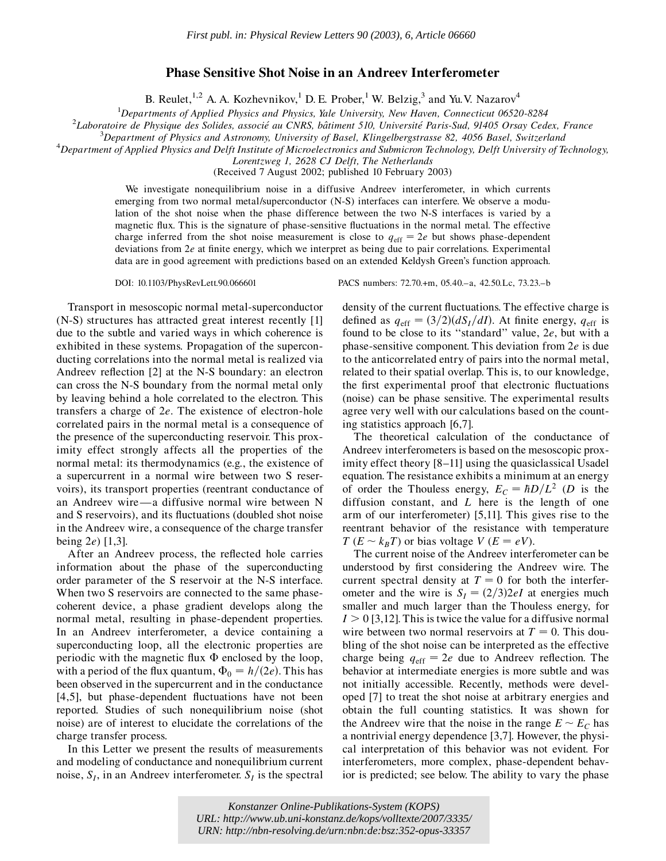## **Phase Sensitive Shot Noise in an Andreev Interferometer**

B. Reulet,<sup>1,2</sup> A. A. Kozhevnikov,<sup>1</sup> D. E. Prober,<sup>1</sup> W. Belzig,<sup>3</sup> and Yu.V. Nazarov<sup>4</sup>

<sup>1</sup>Departments of Applied Physics and Physics, Yale University, New Haven, Connecticut 06520-8284<br><sup>2</sup>Laboratoire de Physique des Solides, associé au CNRS, hâtiment 510, Université Paris Sud, 01405 Orsay Ced<sup>2</sup>

<sup>2</sup> Laboratoire de Physique des Solides, associé au CNRS, bâtiment 510, Université Paris-Sud, 91405 Orsay Cedex, France

*Department of Physics and Astronomy, University of Basel, Klingelbergstrasse 82, 4056 Basel, Switzerland* <sup>4</sup>

*Department of Applied Physics and Delft Institute of Microelectronics and Submicron Technology, Delft University of Technology,*

*Lorentzweg 1, 2628 CJ Delft, The Netherlands*

(Received 7 August 2002; published 10 February 2003)

We investigate nonequilibrium noise in a diffusive Andreev interferometer, in which currents emerging from two normal metal/superconductor (N-S) interfaces can interfere. We observe a modulation of the shot noise when the phase difference between the two N-S interfaces is varied by a magnetic flux. This is the signature of phase-sensitive fluctuations in the normal metal. The effective charge inferred from the shot noise measurement is close to  $q_{\text{eff}} = 2e$  but shows phase-dependent deviations from 2*e* at finite energy, which we interpret as being due to pair correlations. Experimental data are in good agreement with predictions based on an extended Keldysh Green's function approach.

DOI: 10.1103/PhysRevLett.90.066601 PACS numbers: 72.70.+m, 05.40.–a, 42.50.Lc, 73.23.–b

Transport in mesoscopic normal metal-superconductor (N-S) structures has attracted great interest recently [1] due to the subtle and varied ways in which coherence is exhibited in these systems. Propagation of the superconducting correlations into the normal metal is realized via Andreev reflection [2] at the N-S boundary: an electron can cross the N-S boundary from the normal metal only by leaving behind a hole correlated to the electron. This transfers a charge of 2*e*. The existence of electron-hole correlated pairs in the normal metal is a consequence of the presence of the superconducting reservoir. This proximity effect strongly affects all the properties of the normal metal: its thermodynamics (e.g., the existence of a supercurrent in a normal wire between two S reservoirs), its transport properties (reentrant conductance of an Andreev wire —a diffusive normal wire between N and S reservoirs), and its fluctuations (doubled shot noise in the Andreev wire, a consequence of the charge transfer being 2*e*) [1,3].

After an Andreev process, the reflected hole carries information about the phase of the superconducting order parameter of the S reservoir at the N-S interface. When two S reservoirs are connected to the same phasecoherent device, a phase gradient develops along the normal metal, resulting in phase-dependent properties. In an Andreev interferometer, a device containing a superconducting loop, all the electronic properties are periodic with the magnetic flux  $\Phi$  enclosed by the loop, with a period of the flux quantum,  $\Phi_0 = h/(2e)$ . This has been observed in the supercurrent and in the conductance [4,5], but phase-dependent fluctuations have not been reported. Studies of such nonequilibrium noise (shot noise) are of interest to elucidate the correlations of the charge transfer process.

In this Letter we present the results of measurements and modeling of conductance and nonequilibrium current noise,  $S_I$ , in an Andreev interferometer.  $S_I$  is the spectral density of the current fluctuations. The effective charge is defined as  $q_{\text{eff}} = (3/2)(dS_I/dI)$ . At finite energy,  $q_{\text{eff}}$  is found to be close to its ''standard'' value, 2*e*, but with a phase-sensitive component. This deviation from 2*e* is due to the anticorrelated entry of pairs into the normal metal, related to their spatial overlap. This is, to our knowledge, the first experimental proof that electronic fluctuations (noise) can be phase sensitive. The experimental results agree very well with our calculations based on the counting statistics approach [6,7].

The theoretical calculation of the conductance of Andreev interferometers is based on the mesoscopic proximity effect theory [8–11] using the quasiclassical Usadel equation. The resistance exhibits a minimum at an energy of order the Thouless energy,  $E_C = \hbar D/L^2$  (*D* is the diffusion constant, and *L* here is the length of one arm of our interferometer) [5,11]. This gives rise to the reentrant behavior of the resistance with temperature  $T(E \sim k_B T)$  or bias voltage *V* ( $E = eV$ ).

The current noise of the Andreev interferometer can be understood by first considering the Andreev wire. The current spectral density at  $T = 0$  for both the interferometer and the wire is  $S_I = (2/3)2eI$  at energies much smaller and much larger than the Thouless energy, for *I >* 0 [3,12]. This is twice the value for a diffusive normal wire between two normal reservoirs at  $T = 0$ . This doubling of the shot noise can be interpreted as the effective charge being  $q_{\text{eff}} = 2e$  due to Andreev reflection. The behavior at intermediate energies is more subtle and was not initially accessible. Recently, methods were developed [7] to treat the shot noise at arbitrary energies and obtain the full counting statistics. It was shown for the Andreev wire that the noise in the range  $E \sim E_C$  has a nontrivial energy dependence [3,7]. However, the physical interpretation of this behavior was not evident. For interferometers, more complex, phase-dependent behavior is predicted; see below. The ability to vary the phase

*Konstanzer Online-Publikations-System (KOPS) URL:<http://www.ub.uni-konstanz.de/kops/volltexte/2007/3335/> URN:<http://nbn-resolving.de/urn:nbn:de:bsz:352-opus-33357>*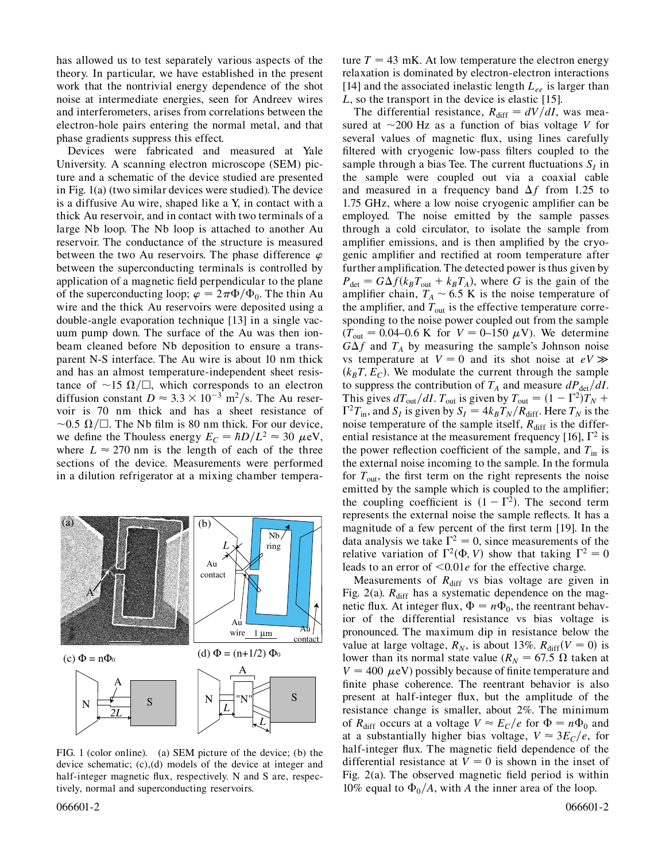has allowed us to test separately various aspects of the theory. In particular, we have established in the present work that the nontrivial energy dependence of the shot noise at intermediate energies, seen for Andreev wires and interferometers, arises from correlations between the electron-hole pairs entering the normal metal, and that phase gradients suppress this effect.

Devices were fabricated and measured at Yale University. A scanning electron microscope (SEM) picture and a schematic of the device studied are presented in Fig. 1(a) (two similar devices were studied). The device is a diffusive Au wire, shaped like a Y, in contact with a thick Au reservoir, and in contact with two terminals of a large Nb loop. The Nb loop is attached to another Au reservoir. The conductance of the structure is measured between the two Au reservoirs. The phase difference  $\varphi$ between the superconducting terminals is controlled by application of a magnetic field perpendicular to the plane of the superconducting loop;  $\varphi = 2\pi \Phi/\Phi_0$ . The thin Au wire and the thick Au reservoirs were deposited using a double-angle evaporation technique [13] in a single vacuum pump down. The surface of the Au was then ionbeam cleaned before Nb deposition to ensure a transparent N-S interface. The Au wire is about 10 nm thick and has an almost temperature-independent sheet resistance of  $\sim$ 15  $\Omega/\square$ , which corresponds to an electron diffusion constant  $D \approx 3.3 \times 10^{-3}$  m<sup>2</sup>/s. The Au reservoir is 70 nm thick and has a sheet resistance of  $\sim$ 0.5  $\Omega$ / $\Box$ . The Nb film is 80 nm thick. For our device, we define the Thouless energy  $E_C = \hbar D/L^2 \approx 30 \mu\text{eV}$ , where  $L \approx 270$  nm is the length of each of the three sections of the device. Measurements were performed in a dilution refrigerator at a mixing chamber tempera-



FIG. 1 (color online). (a) SEM picture of the device; (b) the device schematic; (c),(d) models of the device at integer and half-integer magnetic flux, respectively. N and S are, respectively, normal and superconducting reservoirs.

ture  $T = 43$  mK. At low temperature the electron energy relaxation is dominated by electron-electron interactions [14] and the associated inelastic length *Lee* is larger than *L*, so the transport in the device is elastic [15].

The differential resistance,  $R_{\text{diff}} = dV/dI$ , was measured at  $\sim$ 200 Hz as a function of bias voltage *V* for several values of magnetic flux, using lines carefully filtered with cryogenic low-pass filters coupled to the sample through a bias Tee. The current fluctuations  $S_I$  in the sample were coupled out via a coaxial cable and measured in a frequency band  $\Delta f$  from 1.25 to 1.75 GHz, where a low noise cryogenic amplifier can be employed. The noise emitted by the sample passes through a cold circulator, to isolate the sample from amplifier emissions, and is then amplified by the cryogenic amplifier and rectified at room temperature after further amplification. The detected power is thus given by  $P_{\text{det}} = G \Delta f (k_B T_{\text{out}} + k_B T_A)$ , where *G* is the gain of the amplifier chain,  $T_A \sim 6.5$  K is the noise temperature of the amplifier, and  $T_{\text{out}}$  is the effective temperature corresponding to the noise power coupled out from the sample  $(T_{\text{out}} = 0.04{\text -}0.6 \text{ K} \text{ for } V = 0{\text -}150 \text{ }\mu\text{V})$ . We determine  $G \Delta f$  and  $T_A$  by measuring the sample's Johnson noise vs temperature at  $V = 0$  and its shot noise at  $eV \gg$  $(k_B T, E_C)$ . We modulate the current through the sample to suppress the contribution of  $T_A$  and measure  $dP_{\text{det}}/dI$ . This gives  $dT_{\text{out}}/dI$ .  $T_{\text{out}}$  is given by  $T_{\text{out}} = (1 - \Gamma^2)T_N + T_{\text{out}}$  $\Gamma^2 T_{\text{in}}$ , and  $S_I$  is given by  $S_I = 4k_B T_N/R_{\text{diff}}$ . Here  $T_N$  is the noise temperature of the sample itself,  $R_{\text{diff}}$  is the differential resistance at the measurement frequency [16],  $\Gamma^2$  is the power reflection coefficient of the sample, and  $T_{in}$  is the external noise incoming to the sample. In the formula for  $T_{\text{out}}$ , the first term on the right represents the noise emitted by the sample which is coupled to the amplifier; the coupling coefficient is  $(1 - \Gamma^2)$ . The second term represents the external noise the sample reflects. It has a magnitude of a few percent of the first term [19]. In the data analysis we take  $\Gamma^2 = 0$ , since measurements of the relative variation of  $\Gamma^2(\Phi, V)$  show that taking  $\Gamma^2 = 0$ leads to an error of *<*0*:*01*e* for the effective charge.

Measurements of  $R_{\text{diff}}$  vs bias voltage are given in Fig. 2(a).  $R_{\text{diff}}$  has a systematic dependence on the magnetic flux. At integer flux,  $\Phi = n\Phi_0$ , the reentrant behavior of the differential resistance vs bias voltage is pronounced. The maximum dip in resistance below the value at large voltage,  $R_N$ , is about 13%.  $R_{\text{diff}}(V = 0)$  is lower than its normal state value ( $R_N = 67.5 \Omega$  taken at  $V = 400 \mu$ eV) possibly because of finite temperature and finite phase coherence. The reentrant behavior is also present at half-integer flux, but the amplitude of the resistance change is smaller, about 2%. The minimum of  $R_{\text{diff}}$  occurs at a voltage  $V \approx E_C/e$  for  $\Phi = n\Phi_0$  and at a substantially higher bias voltage,  $V \approx 3E_C/e$ , for half-integer flux. The magnetic field dependence of the differential resistance at  $V = 0$  is shown in the inset of Fig. 2(a). The observed magnetic field period is within 10% equal to  $\Phi_0/A$ , with *A* the inner area of the loop.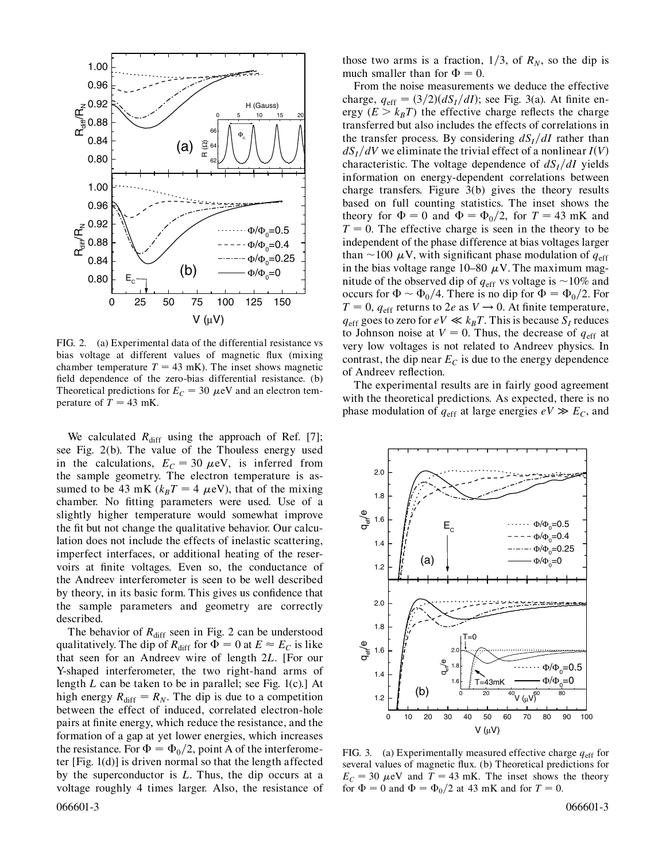

FIG. 2. (a) Experimental data of the differential resistance vs bias voltage at different values of magnetic flux (mixing chamber temperature  $T = 43$  mK). The inset shows magnetic field dependence of the zero-bias differential resistance. (b) Theoretical predictions for  $E_C = 30 \mu eV$  and an electron temperature of  $T = 43$  mK.

We calculated  $R_{\text{diff}}$  using the approach of Ref. [7]; see Fig. 2(b). The value of the Thouless energy used in the calculations,  $E_C = 30 \mu\text{eV}$ , is inferred from the sample geometry. The electron temperature is assumed to be 43 mK ( $k_B T = 4 \mu eV$ ), that of the mixing chamber. No fitting parameters were used. Use of a slightly higher temperature would somewhat improve the fit but not change the qualitative behavior. Our calculation does not include the effects of inelastic scattering, imperfect interfaces, or additional heating of the reservoirs at finite voltages. Even so, the conductance of the Andreev interferometer is seen to be well described by theory, in its basic form. This gives us confidence that the sample parameters and geometry are correctly described.

The behavior of  $R_{\text{diff}}$  seen in Fig. 2 can be understood qualitatively. The dip of  $R_{\text{diff}}$  for  $\Phi = 0$  at  $E \approx E_C$  is like that seen for an Andreev wire of length 2*L*. [For our Y-shaped interferometer, the two right-hand arms of length *L* can be taken to be in parallel; see Fig. 1(c).] At high energy  $R_{\text{diff}} = R_N$ . The dip is due to a competition between the effect of induced, correlated electron-hole pairs at finite energy, which reduce the resistance, and the formation of a gap at yet lower energies, which increases the resistance. For  $\Phi = \Phi_0/2$ , point A of the interferometer [Fig. 1(d)] is driven normal so that the length affected by the superconductor is *L*. Thus, the dip occurs at a voltage roughly 4 times larger. Also, the resistance of 066601-3 066601-3

those two arms is a fraction,  $1/3$ , of  $R_N$ , so the dip is much smaller than for  $\Phi = 0$ .

From the noise measurements we deduce the effective charge,  $q_{\text{eff}} = (3/2)(dS_I/dI)$ ; see Fig. 3(a). At finite energy  $(E > k_B T)$  the effective charge reflects the charge transferred but also includes the effects of correlations in the transfer process. By considering  $dS_I/dI$  rather than  $dS_I/dV$  we eliminate the trivial effect of a nonlinear  $I(V)$ characteristic. The voltage dependence of  $dS_I/dI$  yields information on energy-dependent correlations between charge transfers. Figure 3(b) gives the theory results based on full counting statistics. The inset shows the theory for  $\Phi = 0$  and  $\Phi = \Phi_0/2$ , for  $T = 43$  mK and  $T = 0$ . The effective charge is seen in the theory to be independent of the phase difference at bias voltages larger than  $\sim$ 100  $\mu$ V, with significant phase modulation of  $q_{\text{eff}}$ in the bias voltage range 10–80  $\mu$ V. The maximum magnitude of the observed dip of  $q_{\text{eff}}$  vs voltage is  $\sim$ 10% and occurs for  $\Phi \sim \Phi_0/4$ . There is no dip for  $\Phi = \Phi_0/2$ . For  $T = 0$ ,  $q_{\text{eff}}$  returns to 2*e* as  $V \rightarrow 0$ . At finite temperature,  $q_{\text{eff}}$  goes to zero for  $eV \ll k_B T$ . This is because  $S_I$  reduces to Johnson noise at  $V = 0$ . Thus, the decrease of  $q_{\text{eff}}$  at very low voltages is not related to Andreev physics. In contrast, the dip near  $E_C$  is due to the energy dependence of Andreev reflection.

The experimental results are in fairly good agreement with the theoretical predictions. As expected, there is no phase modulation of  $q_{\text{eff}}$  at large energies  $eV \gg E_C$ , and



FIG. 3. (a) Experimentally measured effective charge  $q_{\text{eff}}$  for several values of magnetic flux. (b) Theoretical predictions for  $E_C = 30 \mu$ eV and  $T = 43 \text{ mK}$ . The inset shows the theory for  $\Phi = 0$  and  $\Phi = \Phi_0/2$  at 43 mK and for  $T = 0$ .